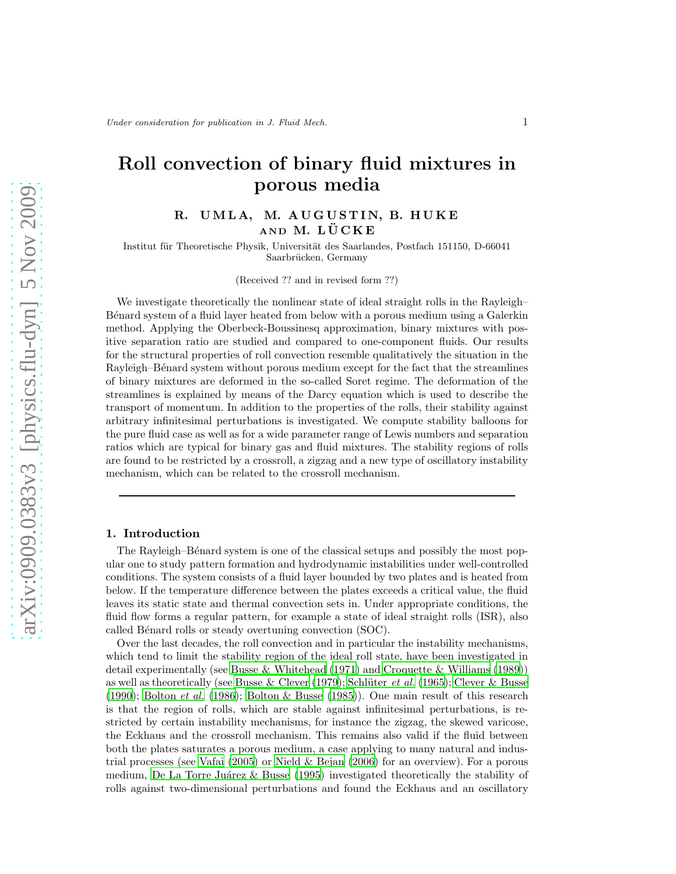# Roll convection of binary fluid mixtures in porous media

# R. UMLA, M. AUGUSTIN, B. HUKE AND M. LÜCKE

Institut für Theoretische Physik, Universität des Saarlandes, Postfach 151150, D-66041 Saarbrücken, Germany

(Received ?? and in revised form ??)

We investigate theoretically the nonlinear state of ideal straight rolls in the Rayleigh– B´enard system of a fluid layer heated from below with a porous medium using a Galerkin method. Applying the Oberbeck-Boussinesq approximation, binary mixtures with positive separation ratio are studied and compared to one-component fluids. Our results for the structural properties of roll convection resemble qualitatively the situation in the Rayleigh–Bénard system without porous medium except for the fact that the streamlines of binary mixtures are deformed in the so-called Soret regime. The deformation of the streamlines is explained by means of the Darcy equation which is used to describe the transport of momentum. In addition to the properties of the rolls, their stability against arbitrary infinitesimal perturbations is investigated. We compute stability balloons for the pure fluid case as well as for a wide parameter range of Lewis numbers and separation ratios which are typical for binary gas and fluid mixtures. The stability regions of rolls are found to be restricted by a crossroll, a zigzag and a new type of oscillatory instability mechanism, which can be related to the crossroll mechanism.

# 1. Introduction

The Rayleigh–Bénard system is one of the classical setups and possibly the most popular one to study pattern formation and hydrodynamic instabilities under well-controlled conditions. The system consists of a fluid layer bounded by two plates and is heated from below. If the temperature difference between the plates exceeds a critical value, the fluid leaves its static state and thermal convection sets in. Under appropriate conditions, the fluid flow forms a regular pattern, for example a state of ideal straight rolls (ISR), also called Bénard rolls or steady overtuning convection (SOC).

Over the last decades, the roll convection and in particular the instability mechanisms, which tend to limit the stability region of the ideal roll state, have been investigated in detail experimentally (see [Busse & Whitehead \(1971](#page-12-0)) and [Croquette & Williams \(1989\)](#page-12-1)) as well as theoretically (see [Busse & Clever \(1979](#page-12-2)); Schlüter *et al.* [\(1965\)](#page-13-0); [Clever & Busse](#page-12-3) [\(1990\)](#page-12-3); [Bolton](#page-12-4) *et al.* [\(1986\)](#page-12-4); [Bolton & Busse \(1985](#page-12-5))). One main result of this research is that the region of rolls, which are stable against infinitesimal perturbations, is restricted by certain instability mechanisms, for instance the zigzag, the skewed varicose, the Eckhaus and the crossroll mechanism. This remains also valid if the fluid between both the plates saturates a porous medium, a case applying to many natural and industrial processes (see [Vafai \(2005](#page-13-1)) or [Nield & Bejan \(2006](#page-13-2)) for an overview). For a porous medium, De La Torre Juárez  $\&$  Busse (1995) investigated theoretically the stability of rolls against two-dimensional perturbations and found the Eckhaus and an oscillatory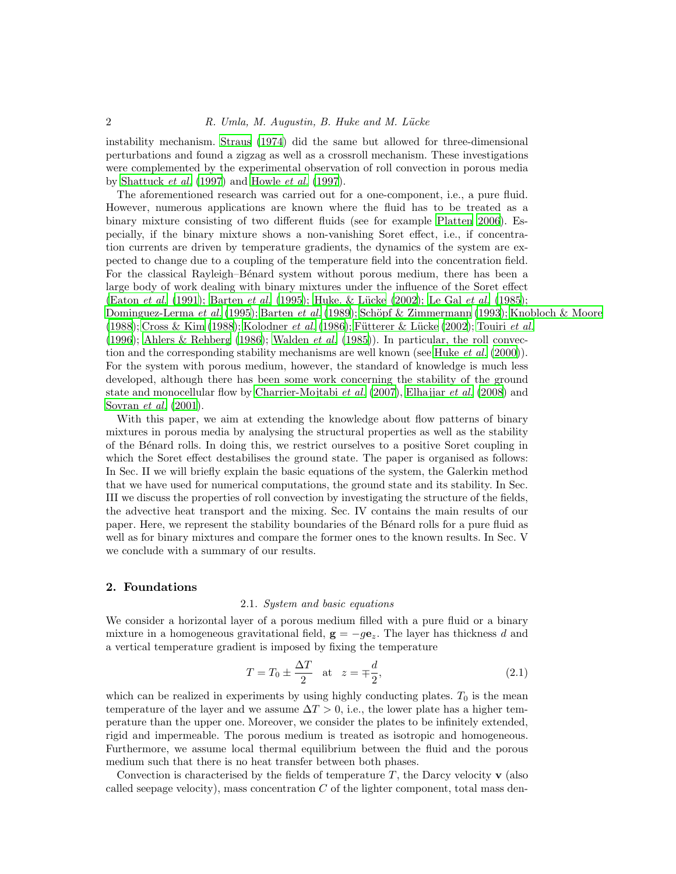instability mechanism. [Straus \(1974](#page-13-3)) did the same but allowed for three-dimensional perturbations and found a zigzag as well as a crossroll mechanism. These investigations were complemented by the experimental observation of roll convection in porous media by [Shattuck](#page-13-4) et al. [\(1997](#page-13-4)) and [Howle](#page-12-7) et al. [\(1997\)](#page-12-7).

The aforementioned research was carried out for a one-component, i.e., a pure fluid. However, numerous applications are known where the fluid has to be treated as a binary mixture consisting of two different fluids (see for example [Platten 2006](#page-13-5)). Especially, if the binary mixture shows a non-vanishing Soret effect, i.e., if concentration currents are driven by temperature gradients, the dynamics of the system are expected to change due to a coupling of the temperature field into the concentration field. For the classical Rayleigh–Bénard system without porous medium, there has been a large body of work dealing with binary mixtures under the influence of the Soret effect [\(Eaton](#page-12-8) *et al.* [\(1991\)](#page-12-8); [Barten](#page-12-9) *et al.* [\(1995\)](#page-12-9); Huke. & Lücke (2002); [Le Gal](#page-12-11) *et al.* [\(1985\)](#page-12-11); [Dominguez-Lerma](#page-12-12) et al. [\(1995](#page-12-12)); [Barten](#page-12-13) et al. [\(1989](#page-12-13)); Schöpf & Zimmermann (1993); [Knobloch & Moore](#page-12-14) [\(1988\)](#page-12-14); [Cross & Kim \(1988\)](#page-12-15); [Kolodner](#page-12-16) et al. [\(1986](#page-12-16)); Fütterer & Lücke (2002); [Touiri](#page-13-7) et al. [\(1996\)](#page-13-7); [Ahlers & Rehberg \(1986\)](#page-12-18); [Walden](#page-13-8) *et al.* [\(1985](#page-13-8))). In particular, the roll convec-tion and the corresponding stability mechanisms are well known (see [Huke](#page-12-19) *et al.* [\(2000](#page-12-19))). For the system with porous medium, however, the standard of knowledge is much less developed, although there has been some work concerning the stability of the ground state and monocellular flow by [Charrier-Mojtabi](#page-12-20) *et al.* [\(2007](#page-12-20)), [Elhajjar](#page-12-21) *et al.* [\(2008\)](#page-12-21) and [Sovran](#page-13-9) et al. [\(2001\)](#page-13-9).

With this paper, we aim at extending the knowledge about flow patterns of binary mixtures in porous media by analysing the structural properties as well as the stability of the B´enard rolls. In doing this, we restrict ourselves to a positive Soret coupling in which the Soret effect destabilises the ground state. The paper is organised as follows: In Sec. II we will briefly explain the basic equations of the system, the Galerkin method that we have used for numerical computations, the ground state and its stability. In Sec. III we discuss the properties of roll convection by investigating the structure of the fields, the advective heat transport and the mixing. Sec. IV contains the main results of our paper. Here, we represent the stability boundaries of the Bénard rolls for a pure fluid as well as for binary mixtures and compare the former ones to the known results. In Sec. V we conclude with a summary of our results.

#### 2. Foundations

# 2.1. System and basic equations

We consider a horizontal layer of a porous medium filled with a pure fluid or a binary mixture in a homogeneous gravitational field,  $g = -q\mathbf{e}_z$ . The layer has thickness d and a vertical temperature gradient is imposed by fixing the temperature

$$
T = T_0 \pm \frac{\Delta T}{2} \quad \text{at} \quad z = \mp \frac{d}{2},\tag{2.1}
$$

which can be realized in experiments by using highly conducting plates.  $T_0$  is the mean temperature of the layer and we assume  $\Delta T > 0$ , i.e., the lower plate has a higher temperature than the upper one. Moreover, we consider the plates to be infinitely extended, rigid and impermeable. The porous medium is treated as isotropic and homogeneous. Furthermore, we assume local thermal equilibrium between the fluid and the porous medium such that there is no heat transfer between both phases.

Convection is characterised by the fields of temperature  $T$ , the Darcy velocity  $\bf{v}$  (also called seepage velocity), mass concentration  $C$  of the lighter component, total mass den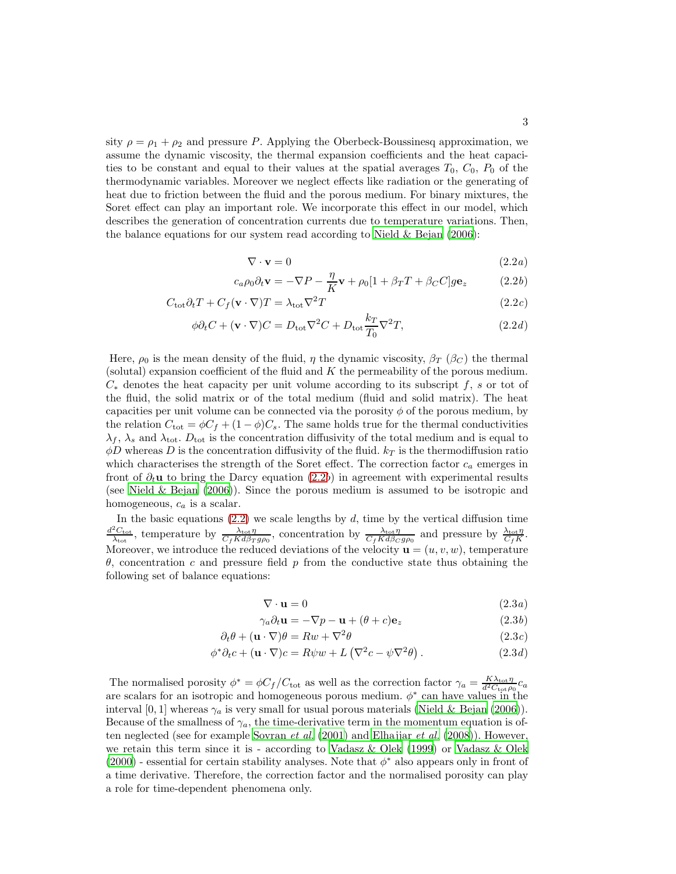sity  $\rho = \rho_1 + \rho_2$  and pressure P. Applying the Oberbeck-Boussinesq approximation, we assume the dynamic viscosity, the thermal expansion coefficients and the heat capacities to be constant and equal to their values at the spatial averages  $T_0$ ,  $C_0$ ,  $P_0$  of the thermodynamic variables. Moreover we neglect effects like radiation or the generating of heat due to friction between the fluid and the porous medium. For binary mixtures, the Soret effect can play an important role. We incorporate this effect in our model, which describes the generation of concentration currents due to temperature variations. Then, the balance equations for our system read according to Nield  $\&$  Bejan (2006):

$$
\nabla \cdot \mathbf{v} = 0 \tag{2.2a}
$$

$$
c_a \rho_0 \partial_t \mathbf{v} = -\nabla P - \frac{\eta}{K} \mathbf{v} + \rho_0 [1 + \beta_T T + \beta_C C] g \mathbf{e}_z \qquad (2.2b)
$$

$$
C_{\text{tot}}\partial_t T + C_f(\mathbf{v} \cdot \nabla)T = \lambda_{\text{tot}}\nabla^2 T \tag{2.2c}
$$

$$
\phi \partial_t C + (\mathbf{v} \cdot \nabla) C = D_{\text{tot}} \nabla^2 C + D_{\text{tot}} \frac{k_T}{T_0} \nabla^2 T,
$$
\n(2.2*d*)

Here,  $\rho_0$  is the mean density of the fluid,  $\eta$  the dynamic viscosity,  $\beta_T$  ( $\beta_C$ ) the thermal (solutal) expansion coefficient of the fluid and  $K$  the permeability of the porous medium.  $C_*$  denotes the heat capacity per unit volume according to its subscript f, s or tot of the fluid, the solid matrix or of the total medium (fluid and solid matrix). The heat capacities per unit volume can be connected via the porosity  $\phi$  of the porous medium, by the relation  $C_{\text{tot}} = \phi C_f + (1 - \phi)C_s$ . The same holds true for the thermal conductivities  $\lambda_f$ ,  $\lambda_s$  and  $\lambda_{\text{tot}}$ .  $D_{\text{tot}}$  is the concentration diffusivity of the total medium and is equal to  $\phi D$  whereas D is the concentration diffusivity of the fluid.  $k_T$  is the thermodiffusion ratio which characterises the strength of the Soret effect. The correction factor  $c_a$  emerges in front of  $\partial_t$ **u** to bring the Darcy equation [\(2.2](#page-3-0)b) in agreement with experimental results (see [Nield & Bejan \(2006\)](#page-13-2)). Since the porous medium is assumed to be isotropic and homogeneous,  $c_a$  is a scalar.

In the basic equations  $(2.2)$  we scale lengths by d, time by the vertical diffusion time  $\frac{d^2C_{\text{tot}}}{\lambda_{\text{tot}}}$ , temperature by  $\frac{\lambda_{\text{tot}}\eta}{C_f K d\beta_T g\rho_0}$ , concentration by  $\frac{\lambda_{\text{tot}}\eta}{C_f K d\beta_C g\rho_0}$  and pressure by  $\frac{\lambda_{\text{tot}}\eta}{C_f K d\beta_T g\rho_0}$ Moreover, we introduce the reduced deviations of the velocity  $\mathbf{u} = (u, v, w)$ , temperature θ, concentration c and pressure field p from the conductive state thus obtaining the following set of balance equations:

$$
\nabla \cdot \mathbf{u} = 0 \tag{2.3a}
$$

$$
\gamma_a \partial_t \mathbf{u} = -\nabla p - \mathbf{u} + (\theta + c)\mathbf{e}_z \tag{2.3b}
$$

$$
\partial_t \theta + (\mathbf{u} \cdot \nabla)\theta = Rw + \nabla^2 \theta \tag{2.3c}
$$

$$
\phi^* \partial_t c + (\mathbf{u} \cdot \nabla)c = R\psi w + L(\nabla^2 c - \psi \nabla^2 \theta).
$$
 (2.3*d*)

The normalised porosity  $\phi^* = \phi C_f/C_{\text{tot}}$  as well as the correction factor  $\gamma_a = \frac{K\lambda_{\text{tot}}\eta}{d^2C_{\text{tot}}\rho_0}c_a$ are scalars for an isotropic and homogeneous porous medium.  $\phi^*$  can have values in the interval [0, 1] whereas  $\gamma_a$  is very small for usual porous materials [\(Nield & Bejan \(2006\)](#page-13-2)). Because of the smallness of  $\gamma_a$ , the time-derivative term in the momentum equation is of-ten neglected (see for example [Sovran](#page-13-9) *et al.* [\(2001\)](#page-13-9) and [Elhajjar](#page-12-21) *et al.* [\(2008\)](#page-12-21)). However, we retain this term since it is - according to Vadasz  $\&$  Olek (1999) or Vadasz  $\&$  Olek [\(2000\)](#page-13-11) - essential for certain stability analyses. Note that  $\phi^*$  also appears only in front of a time derivative. Therefore, the correction factor and the normalised porosity can play a role for time-dependent phenomena only.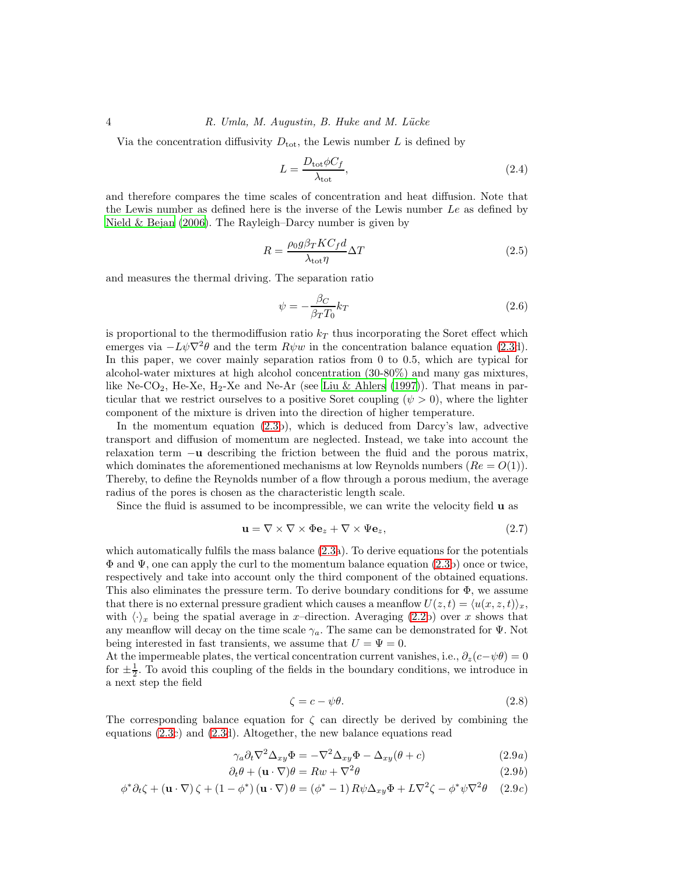Via the concentration diffusivity  $D_{\text{tot}}$ , the Lewis number L is defined by

$$
L = \frac{D_{\text{tot}} \phi C_f}{\lambda_{\text{tot}}},\tag{2.4}
$$

and therefore compares the time scales of concentration and heat diffusion. Note that the Lewis number as defined here is the inverse of the Lewis number Le as defined by [Nield & Bejan \(2006\)](#page-13-2). The Rayleigh–Darcy number is given by

$$
R = \frac{\rho_0 g \beta_T K C_f d}{\lambda_{\text{tot}} \eta} \Delta T \tag{2.5}
$$

and measures the thermal driving. The separation ratio

$$
\psi = -\frac{\beta_C}{\beta_T T_0} k_T \tag{2.6}
$$

is proportional to the thermodiffusion ratio  $k<sub>T</sub>$  thus incorporating the Soret effect which emerges via  $-L\psi\nabla^2\theta$  and the term  $R\psi w$  in the concentration balance equation [\(2.3d](#page-3-0)). In this paper, we cover mainly separation ratios from 0 to 0.5, which are typical for alcohol-water mixtures at high alcohol concentration (30-80%) and many gas mixtures, like Ne-CO<sub>2</sub>, He-Xe, H<sub>2</sub>-Xe and Ne-Ar (see [Liu & Ahlers \(1997](#page-12-22))). That means in particular that we restrict ourselves to a positive Soret coupling  $(\psi > 0)$ , where the lighter component of the mixture is driven into the direction of higher temperature.

In the momentum equation [\(2.3b](#page-3-0)), which is deduced from Darcy's law, advective transport and diffusion of momentum are neglected. Instead, we take into account the relaxation term −u describing the friction between the fluid and the porous matrix, which dominates the aforementioned mechanisms at low Reynolds numbers  $(Re = O(1))$ . Thereby, to define the Reynolds number of a flow through a porous medium, the average radius of the pores is chosen as the characteristic length scale.

Since the fluid is assumed to be incompressible, we can write the velocity field u as

$$
\mathbf{u} = \nabla \times \nabla \times \Phi \mathbf{e}_z + \nabla \times \Psi \mathbf{e}_z, \tag{2.7}
$$

which automatically fulfils the mass balance [\(2.3a](#page-3-0)). To derive equations for the potentials  $\Phi$  and  $\Psi$ , one can apply the curl to the momentum balance equation [\(2.3b](#page-3-0)) once or twice, respectively and take into account only the third component of the obtained equations. This also eliminates the pressure term. To derive boundary conditions for  $\Phi$ , we assume that there is no external pressure gradient which causes a meanflow  $U(z, t) = \langle u(x, z, t) \rangle_x$ , with  $\langle \cdot \rangle_x$  being the spatial average in x–direction. Averaging [\(2.2b](#page-3-0)) over x shows that any meanflow will decay on the time scale  $\gamma_a$ . The same can be demonstrated for  $\Psi$ . Not being interested in fast transients, we assume that  $U = \Psi = 0$ .

At the impermeable plates, the vertical concentration current vanishes, i.e.,  $\partial_z(c-\psi\theta) = 0$ for  $\pm \frac{1}{2}$ . To avoid this coupling of the fields in the boundary conditions, we introduce in a next step the field

$$
\zeta = c - \psi \theta. \tag{2.8}
$$

The corresponding balance equation for  $\zeta$  can directly be derived by combining the equations [\(2.3c](#page-3-0)) and [\(2.3d](#page-3-0)). Altogether, the new balance equations read

<span id="page-3-0"></span>
$$
\gamma_a \partial_t \nabla^2 \Delta_{xy} \Phi = -\nabla^2 \Delta_{xy} \Phi - \Delta_{xy} (\theta + c) \tag{2.9a}
$$

$$
\partial_t \theta + (\mathbf{u} \cdot \nabla)\theta = Rw + \nabla^2 \theta \tag{2.9b}
$$

$$
\phi^* \partial_t \zeta + (\mathbf{u} \cdot \nabla) \zeta + (1 - \phi^*) (\mathbf{u} \cdot \nabla) \theta = (\phi^* - 1) R \psi \Delta_{xy} \Phi + L \nabla^2 \zeta - \phi^* \psi \nabla^2 \theta \quad (2.9c)
$$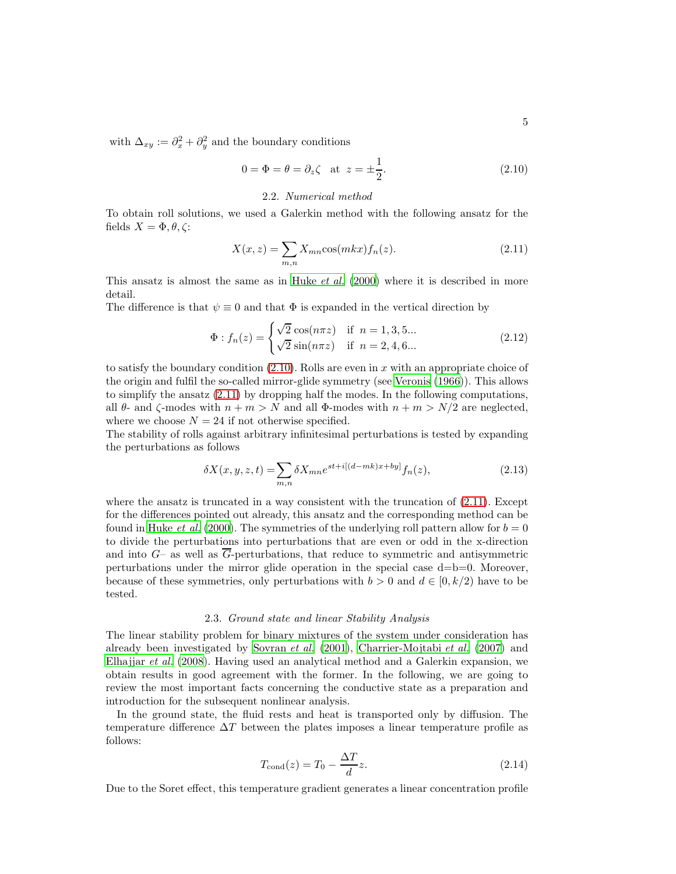with  $\Delta_{xy} := \partial_x^2 + \partial_y^2$  and the boundary conditions

<span id="page-4-0"></span>
$$
0 = \Phi = \theta = \partial_z \zeta \quad \text{at} \quad z = \pm \frac{1}{2}.
$$
 (2.10)

# 2.2. Numerical method

<span id="page-4-2"></span>To obtain roll solutions, we used a Galerkin method with the following ansatz for the fields  $X = \Phi, \theta, \zeta$ :

<span id="page-4-1"></span>
$$
X(x,z) = \sum_{m,n} X_{mn} \cos(mkx) f_n(z). \tag{2.11}
$$

This ansatz is almost the same as in [Huke](#page-12-19) *et al.* [\(2000](#page-12-19)) where it is described in more detail.

The difference is that  $\psi \equiv 0$  and that  $\Phi$  is expanded in the vertical direction by

$$
\Phi: f_n(z) = \begin{cases} \sqrt{2} \cos(n\pi z) & \text{if } n = 1, 3, 5... \\ \sqrt{2} \sin(n\pi z) & \text{if } n = 2, 4, 6... \end{cases}
$$
 (2.12)

to satisfy the boundary condition  $(2.10)$ . Rolls are even in x with an appropriate choice of the origin and fulfil the so-called mirror-glide symmetry (see [Veronis](#page-13-12) [\(1966\)](#page-13-12)). This allows to simplify the ansatz [\(2.11\)](#page-4-1) by dropping half the modes. In the following computations, all  $\theta$ - and  $\zeta$ -modes with  $n + m > N$  and all  $\Phi$ -modes with  $n + m > N/2$  are neglected, where we choose  $N = 24$  if not otherwise specified.

The stability of rolls against arbitrary infinitesimal perturbations is tested by expanding the perturbations as follows

$$
\delta X(x, y, z, t) = \sum_{m,n} \delta X_{mn} e^{st + i[(d - mk)x + by]} f_n(z), \tag{2.13}
$$

where the ansatz is truncated in a way consistent with the truncation of  $(2.11)$ . Except for the differences pointed out already, this ansatz and the corresponding method can be found in [Huke](#page-12-19) et al. [\(2000](#page-12-19)). The symmetries of the underlying roll pattern allow for  $b = 0$ to divide the perturbations into perturbations that are even or odd in the x-direction and into  $G$ – as well as  $\overline{G}$ -perturbations, that reduce to symmetric and antisymmetric perturbations under the mirror glide operation in the special case d=b=0. Moreover, because of these symmetries, only perturbations with  $b > 0$  and  $d \in [0, k/2)$  have to be tested.

#### 2.3. Ground state and linear Stability Analysis

The linear stability problem for binary mixtures of the system under consideration has already been investigated by [Sovran](#page-13-9) *et al.* [\(2001\)](#page-13-9), [Charrier-Mojtabi](#page-12-20) *et al.* [\(2007\)](#page-12-20) and [Elhajjar](#page-12-21) et al. [\(2008\)](#page-12-21). Having used an analytical method and a Galerkin expansion, we obtain results in good agreement with the former. In the following, we are going to review the most important facts concerning the conductive state as a preparation and introduction for the subsequent nonlinear analysis.

In the ground state, the fluid rests and heat is transported only by diffusion. The temperature difference  $\Delta T$  between the plates imposes a linear temperature profile as follows:

$$
T_{\text{cond}}(z) = T_0 - \frac{\Delta T}{d} z. \tag{2.14}
$$

Due to the Soret effect, this temperature gradient generates a linear concentration profile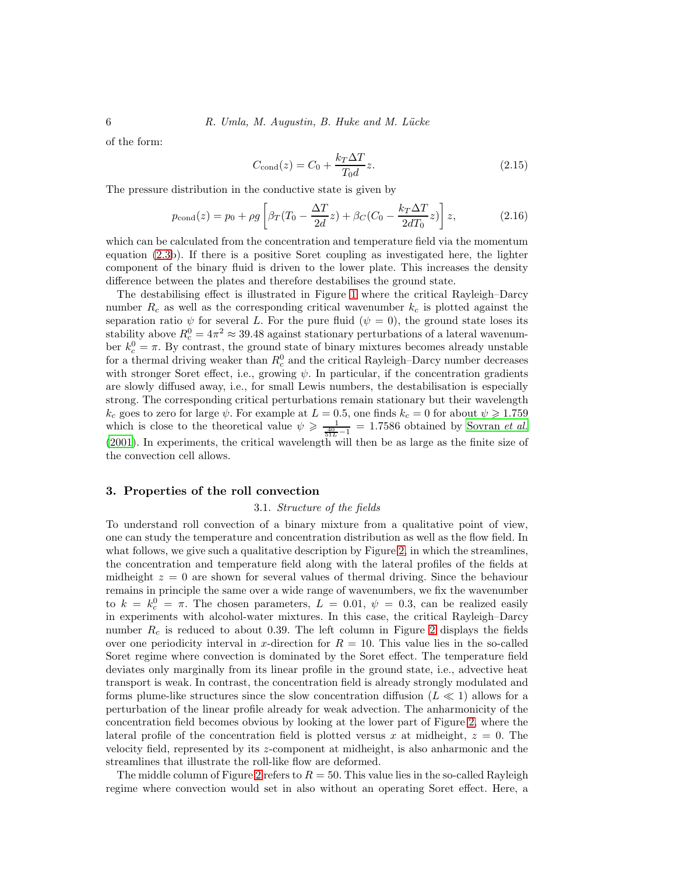of the form:

$$
C_{\text{cond}}(z) = C_0 + \frac{k_T \Delta T}{T_0 d} z. \tag{2.15}
$$

The pressure distribution in the conductive state is given by

$$
p_{\text{cond}}(z) = p_0 + \rho g \left[ \beta_T (T_0 - \frac{\Delta T}{2d} z) + \beta_C (C_0 - \frac{k_T \Delta T}{2dT_0} z) \right] z,
$$
 (2.16)

which can be calculated from the concentration and temperature field via the momentum equation [\(2.3b](#page-3-0)). If there is a positive Soret coupling as investigated here, the lighter component of the binary fluid is driven to the lower plate. This increases the density difference between the plates and therefore destabilises the ground state.

The destabilising effect is illustrated in Figure [1](#page-14-0) where the critical Rayleigh–Darcy number  $R_c$  as well as the corresponding critical wavenumber  $k_c$  is plotted against the separation ratio  $\psi$  for several L. For the pure fluid ( $\psi = 0$ ), the ground state loses its stability above  $R_c^0 = 4\pi^2 \approx 39.48$  against stationary perturbations of a lateral wavenumber  $k_c^0 = \pi$ . By contrast, the ground state of binary mixtures becomes already unstable for a thermal driving weaker than  $R_c^0$  and the critical Rayleigh–Darcy number decreases with stronger Soret effect, i.e., growing  $\psi$ . In particular, if the concentration gradients are slowly diffused away, i.e., for small Lewis numbers, the destabilisation is especially strong. The corresponding critical perturbations remain stationary but their wavelength  $k_c$  goes to zero for large  $\psi$ . For example at  $L = 0.5$ , one finds  $k_c = 0$  for about  $\psi \geqslant 1.759$ which is close to the theoretical value  $\psi \geqslant \frac{1}{\frac{40}{51L}-1} = 1.7586$  obtained by [Sovran](#page-13-9) *et al.* [\(2001\)](#page-13-9). In experiments, the critical wavelength will then be as large as the finite size of the convection cell allows.

# 3. Properties of the roll convection

#### 3.1. Structure of the fields

To understand roll convection of a binary mixture from a qualitative point of view, one can study the temperature and concentration distribution as well as the flow field. In what follows, we give such a qualitative description by Figure [2,](#page-15-0) in which the streamlines, the concentration and temperature field along with the lateral profiles of the fields at midheight  $z = 0$  are shown for several values of thermal driving. Since the behaviour remains in principle the same over a wide range of wavenumbers, we fix the wavenumber to  $k = k_c^0 = \pi$ . The chosen parameters,  $L = 0.01, \psi = 0.3$ , can be realized easily in experiments with alcohol-water mixtures. In this case, the critical Rayleigh–Darcy number  $R_c$  is reduced to about 0.39. The left column in Figure [2](#page-15-0) displays the fields over one periodicity interval in x-direction for  $R = 10$ . This value lies in the so-called Soret regime where convection is dominated by the Soret effect. The temperature field deviates only marginally from its linear profile in the ground state, i.e., advective heat transport is weak. In contrast, the concentration field is already strongly modulated and forms plume-like structures since the slow concentration diffusion ( $L \ll 1$ ) allows for a perturbation of the linear profile already for weak advection. The anharmonicity of the concentration field becomes obvious by looking at the lower part of Figure [2,](#page-15-0) where the lateral profile of the concentration field is plotted versus x at midheight,  $z = 0$ . The velocity field, represented by its z-component at midheight, is also anharmonic and the streamlines that illustrate the roll-like flow are deformed.

The middle column of Figure [2](#page-15-0) refers to  $R = 50$ . This value lies in the so-called Rayleigh regime where convection would set in also without an operating Soret effect. Here, a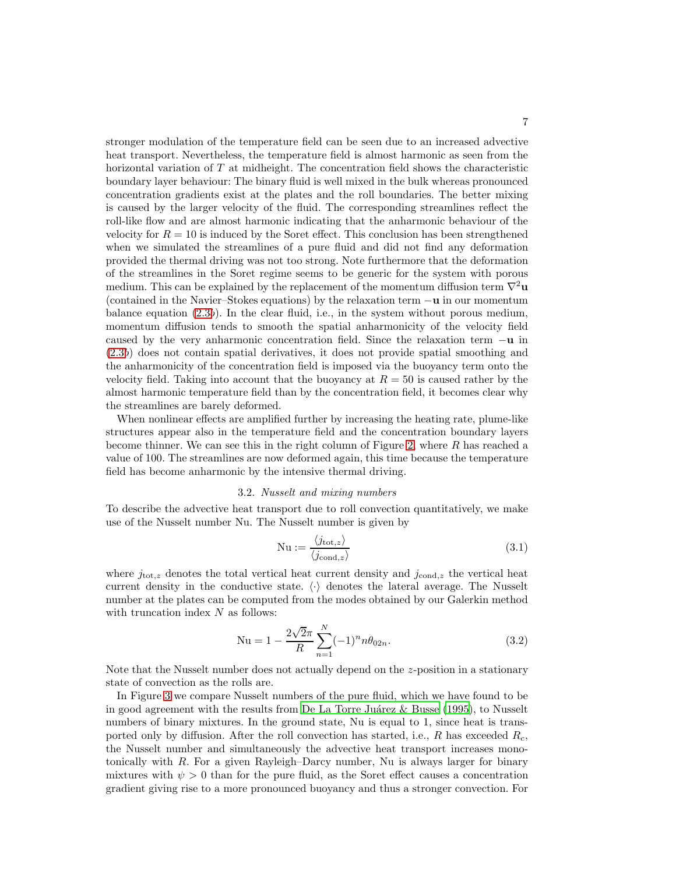stronger modulation of the temperature field can be seen due to an increased advective heat transport. Nevertheless, the temperature field is almost harmonic as seen from the horizontal variation of T at midheight. The concentration field shows the characteristic boundary layer behaviour: The binary fluid is well mixed in the bulk whereas pronounced concentration gradients exist at the plates and the roll boundaries. The better mixing is caused by the larger velocity of the fluid. The corresponding streamlines reflect the roll-like flow and are almost harmonic indicating that the anharmonic behaviour of the velocity for  $R = 10$  is induced by the Soret effect. This conclusion has been strengthened when we simulated the streamlines of a pure fluid and did not find any deformation provided the thermal driving was not too strong. Note furthermore that the deformation of the streamlines in the Soret regime seems to be generic for the system with porous medium. This can be explained by the replacement of the momentum diffusion term  $\nabla^2$ **u** (contained in the Navier–Stokes equations) by the relaxation term  $-\mathbf{u}$  in our momentum balance equation [\(2.3](#page-3-0)b). In the clear fluid, i.e., in the system without porous medium, momentum diffusion tends to smooth the spatial anharmonicity of the velocity field caused by the very anharmonic concentration field. Since the relaxation term  $-\mathbf{u}$  in [\(2.3](#page-3-0)b) does not contain spatial derivatives, it does not provide spatial smoothing and the anharmonicity of the concentration field is imposed via the buoyancy term onto the velocity field. Taking into account that the buoyancy at  $R = 50$  is caused rather by the almost harmonic temperature field than by the concentration field, it becomes clear why the streamlines are barely deformed.

When nonlinear effects are amplified further by increasing the heating rate, plume-like structures appear also in the temperature field and the concentration boundary layers become thinner. We can see this in the right column of Figure [2,](#page-15-0) where  $R$  has reached a value of 100. The streamlines are now deformed again, this time because the temperature field has become anharmonic by the intensive thermal driving.

# 3.2. Nusselt and mixing numbers

To describe the advective heat transport due to roll convection quantitatively, we make use of the Nusselt number Nu. The Nusselt number is given by

$$
Nu := \frac{\langle j_{\text{tot},z} \rangle}{\langle j_{\text{cond},z} \rangle} \tag{3.1}
$$

where  $j_{\text{tot},z}$  denotes the total vertical heat current density and  $j_{\text{cond},z}$  the vertical heat current density in the conductive state.  $\langle \cdot \rangle$  denotes the lateral average. The Nusselt number at the plates can be computed from the modes obtained by our Galerkin method with truncation index  $N$  as follows:

$$
Nu = 1 - \frac{2\sqrt{2}\pi}{R} \sum_{n=1}^{N} (-1)^n n \theta_{02n}.
$$
 (3.2)

Note that the Nusselt number does not actually depend on the z-position in a stationary state of convection as the rolls are.

In Figure [3](#page-16-0) we compare Nusselt numbers of the pure fluid, which we have found to be in good agreement with the results from De La Torre Juárez  $\&$  Busse (1995), to Nusselt numbers of binary mixtures. In the ground state, Nu is equal to 1, since heat is transported only by diffusion. After the roll convection has started, i.e., R has exceeded  $R_c$ , the Nusselt number and simultaneously the advective heat transport increases monotonically with R. For a given Rayleigh–Darcy number, Nu is always larger for binary mixtures with  $\psi > 0$  than for the pure fluid, as the Soret effect causes a concentration gradient giving rise to a more pronounced buoyancy and thus a stronger convection. For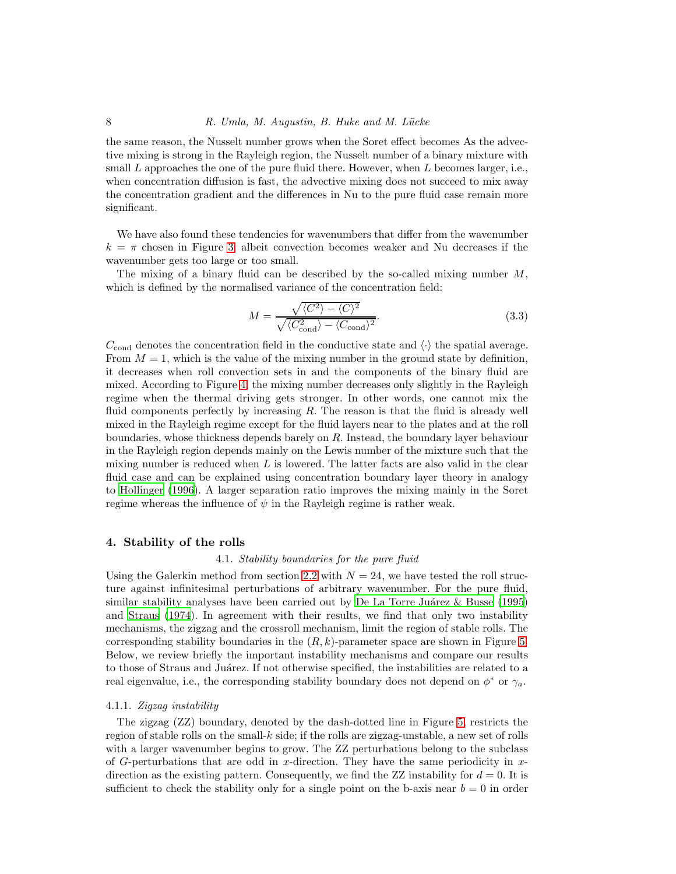the same reason, the Nusselt number grows when the Soret effect becomes As the advective mixing is strong in the Rayleigh region, the Nusselt number of a binary mixture with small L approaches the one of the pure fluid there. However, when L becomes larger, i.e., when concentration diffusion is fast, the advective mixing does not succeed to mix away the concentration gradient and the differences in Nu to the pure fluid case remain more significant.

We have also found these tendencies for wavenumbers that differ from the wavenumber  $k = \pi$  chosen in Figure [3,](#page-16-0) albeit convection becomes weaker and Nu decreases if the wavenumber gets too large or too small.

The mixing of a binary fluid can be described by the so-called mixing number  $M$ , which is defined by the normalised variance of the concentration field:

$$
M = \frac{\sqrt{\langle C^2 \rangle - \langle C \rangle^2}}{\sqrt{\langle C_{\text{cond}}^2 \rangle - \langle C_{\text{cond}} \rangle^2}}.
$$
\n(3.3)

 $C_{\text{cond}}$  denotes the concentration field in the conductive state and  $\langle \cdot \rangle$  the spatial average. From  $M = 1$ , which is the value of the mixing number in the ground state by definition, it decreases when roll convection sets in and the components of the binary fluid are mixed. According to Figure [4,](#page-17-0) the mixing number decreases only slightly in the Rayleigh regime when the thermal driving gets stronger. In other words, one cannot mix the fluid components perfectly by increasing  $R$ . The reason is that the fluid is already well mixed in the Rayleigh regime except for the fluid layers near to the plates and at the roll boundaries, whose thickness depends barely on  $R$ . Instead, the boundary layer behaviour in the Rayleigh region depends mainly on the Lewis number of the mixture such that the mixing number is reduced when  $L$  is lowered. The latter facts are also valid in the clear fluid case and can be explained using concentration boundary layer theory in analogy to [Hollinger \(1996\)](#page-12-23). A larger separation ratio improves the mixing mainly in the Soret regime whereas the influence of  $\psi$  in the Rayleigh regime is rather weak.

#### 4. Stability of the rolls

## 4.1. Stability boundaries for the pure fluid

Using the Galerkin method from section [2.2](#page-4-2) with  $N = 24$ , we have tested the roll structure against infinitesimal perturbations of arbitrary wavenumber. For the pure fluid, similar stability analyses have been carried out by De La Torre Juárez & Busse (1995) and [Straus \(1974\)](#page-13-3). In agreement with their results, we find that only two instability mechanisms, the zigzag and the crossroll mechanism, limit the region of stable rolls. The corresponding stability boundaries in the  $(R, k)$ -parameter space are shown in Figure [5.](#page-18-0) Below, we review briefly the important instability mechanisms and compare our results to those of Straus and Juárez. If not otherwise specified, the instabilities are related to a real eigenvalue, i.e., the corresponding stability boundary does not depend on  $\phi^*$  or  $\gamma_a$ .

# 4.1.1. Zigzag instability

The zigzag (ZZ) boundary, denoted by the dash-dotted line in Figure [5,](#page-18-0) restricts the region of stable rolls on the small-k side; if the rolls are zigzag-unstable, a new set of rolls with a larger wavenumber begins to grow. The ZZ perturbations belong to the subclass of G-perturbations that are odd in x-direction. They have the same periodicity in  $x$ direction as the existing pattern. Consequently, we find the ZZ instability for  $d = 0$ . It is sufficient to check the stability only for a single point on the b-axis near  $b = 0$  in order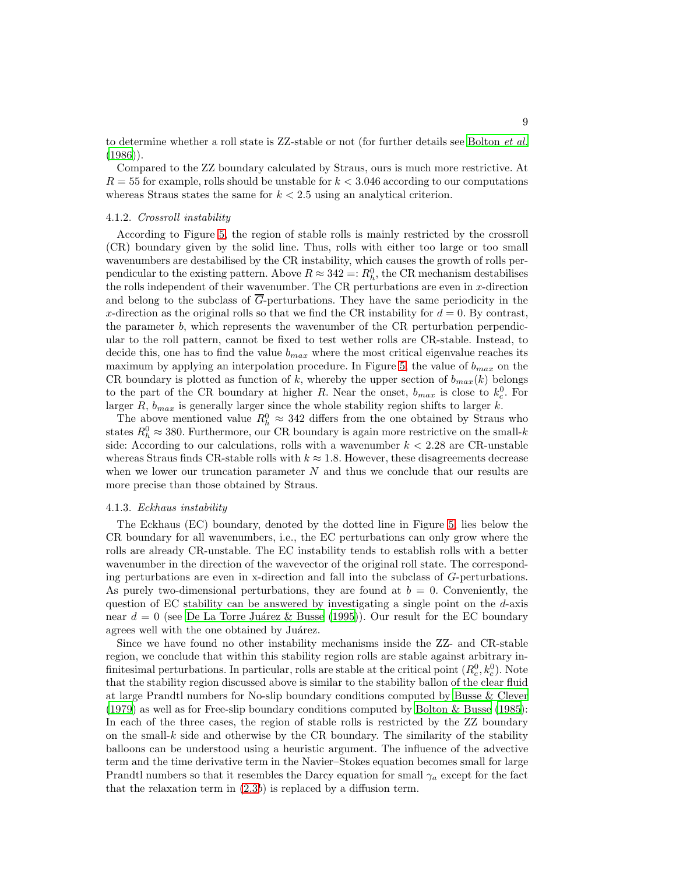to determine whether a roll state is ZZ-stable or not (for further details see [Bolton](#page-12-4) et al.  $(1986)$ .

Compared to the ZZ boundary calculated by Straus, ours is much more restrictive. At  $R = 55$  for example, rolls should be unstable for  $k < 3.046$  according to our computations whereas Straus states the same for  $k < 2.5$  using an analytical criterion.

# 4.1.2. Crossroll instability

According to Figure [5,](#page-18-0) the region of stable rolls is mainly restricted by the crossroll (CR) boundary given by the solid line. Thus, rolls with either too large or too small wavenumbers are destabilised by the CR instability, which causes the growth of rolls perpendicular to the existing pattern. Above  $R \approx 342 =: R_h^0$ , the CR mechanism destabilises the rolls independent of their wavenumber. The CR perturbations are even in  $x$ -direction and belong to the subclass of  $\overline{G}$ -perturbations. They have the same periodicity in the x-direction as the original rolls so that we find the CR instability for  $d = 0$ . By contrast, the parameter b, which represents the wavenumber of the CR perturbation perpendicular to the roll pattern, cannot be fixed to test wether rolls are CR-stable. Instead, to decide this, one has to find the value  $b_{max}$  where the most critical eigenvalue reaches its maximum by applying an interpolation procedure. In Figure [5,](#page-18-0) the value of  $b_{max}$  on the CR boundary is plotted as function of k, whereby the upper section of  $b_{max}(k)$  belongs to the part of the CR boundary at higher R. Near the onset,  $b_{max}$  is close to  $k_c^0$ . For larger R,  $b_{max}$  is generally larger since the whole stability region shifts to larger k.

The above mentioned value  $R_h^0 \approx 342$  differs from the one obtained by Straus who states  $R_h^0 \approx 380$ . Furthermore, our CR boundary is again more restrictive on the small-k side: According to our calculations, rolls with a wavenumber  $k < 2.28$  are CR-unstable whereas Straus finds CR-stable rolls with  $k \approx 1.8$ . However, these disagreements decrease when we lower our truncation parameter  $N$  and thus we conclude that our results are more precise than those obtained by Straus.

# 4.1.3. Eckhaus instability

The Eckhaus (EC) boundary, denoted by the dotted line in Figure [5,](#page-18-0) lies below the CR boundary for all wavenumbers, i.e., the EC perturbations can only grow where the rolls are already CR-unstable. The EC instability tends to establish rolls with a better wavenumber in the direction of the wavevector of the original roll state. The corresponding perturbations are even in x-direction and fall into the subclass of G-perturbations. As purely two-dimensional perturbations, they are found at  $b = 0$ . Conveniently, the question of EC stability can be answered by investigating a single point on the  $d$ -axis near  $d = 0$  (see De La Torre Juárez & Busse (1995)). Our result for the EC boundary agrees well with the one obtained by Juárez.

Since we have found no other instability mechanisms inside the ZZ- and CR-stable region, we conclude that within this stability region rolls are stable against arbitrary infinitesimal perturbations. In particular, rolls are stable at the critical point  $(R_c^0, k_c^0)$ . Note that the stability region discussed above is similar to the stability ballon of the clear fluid at large Prandtl numbers for No-slip boundary conditions computed by [Busse & Clever](#page-12-2) [\(1979\)](#page-12-2) as well as for Free-slip boundary conditions computed by [Bolton & Busse \(1985\)](#page-12-5): In each of the three cases, the region of stable rolls is restricted by the ZZ boundary on the small- $k$  side and otherwise by the CR boundary. The similarity of the stability balloons can be understood using a heuristic argument. The influence of the advective term and the time derivative term in the Navier–Stokes equation becomes small for large Prandtl numbers so that it resembles the Darcy equation for small  $\gamma_a$  except for the fact that the relaxation term in  $(2.3b)$  is replaced by a diffusion term.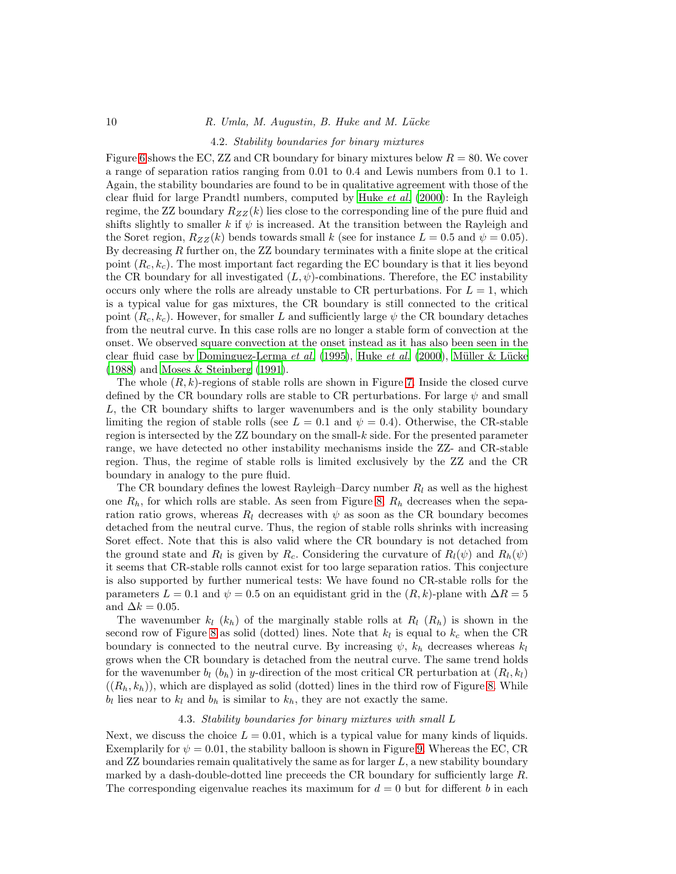#### 4.2. Stability boundaries for binary mixtures

Figure [6](#page-19-0) shows the EC, ZZ and CR boundary for binary mixtures below  $R = 80$ . We cover a range of separation ratios ranging from 0.01 to 0.4 and Lewis numbers from 0.1 to 1. Again, the stability boundaries are found to be in qualitative agreement with those of the clear fluid for large Prandtl numbers, computed by [Huke](#page-12-19) et al. [\(2000\)](#page-12-19): In the Rayleigh regime, the ZZ boundary  $R_{ZZ}(k)$  lies close to the corresponding line of the pure fluid and shifts slightly to smaller k if  $\psi$  is increased. At the transition between the Rayleigh and the Soret region,  $R_{ZZ}(k)$  bends towards small k (see for instance  $L = 0.5$  and  $\psi = 0.05$ ). By decreasing R further on, the ZZ boundary terminates with a finite slope at the critical point  $(R_c, k_c)$ . The most important fact regarding the EC boundary is that it lies beyond the CR boundary for all investigated  $(L, \psi)$ -combinations. Therefore, the EC instability occurs only where the rolls are already unstable to CR perturbations. For  $L = 1$ , which is a typical value for gas mixtures, the CR boundary is still connected to the critical point  $(R_c, k_c)$ . However, for smaller L and sufficiently large  $\psi$  the CR boundary detaches from the neutral curve. In this case rolls are no longer a stable form of convection at the onset. We observed square convection at the onset instead as it has also been seen in the clear fluid case by [Dominguez-Lerma](#page-12-12) et al. [\(1995](#page-12-12)), [Huke](#page-12-19) et al. [\(2000\)](#page-12-19), Müller & Lücke [\(1988\)](#page-13-13) and [Moses & Steinberg \(1991](#page-12-24)).

The whole  $(R, k)$ -regions of stable rolls are shown in Figure [7.](#page-20-0) Inside the closed curve defined by the CR boundary rolls are stable to CR perturbations. For large  $\psi$  and small L, the CR boundary shifts to larger wavenumbers and is the only stability boundary limiting the region of stable rolls (see  $L = 0.1$  and  $\psi = 0.4$ ). Otherwise, the CR-stable region is intersected by the  $ZZ$  boundary on the small- $k$  side. For the presented parameter range, we have detected no other instability mechanisms inside the ZZ- and CR-stable region. Thus, the regime of stable rolls is limited exclusively by the ZZ and the CR boundary in analogy to the pure fluid.

The CR boundary defines the lowest Rayleigh–Darcy number  $R_l$  as well as the highest one  $R_h$ , for which rolls are stable. As seen from Figure [8,](#page-21-0)  $R_h$  decreases when the separation ratio grows, whereas  $R_l$  decreases with  $\psi$  as soon as the CR boundary becomes detached from the neutral curve. Thus, the region of stable rolls shrinks with increasing Soret effect. Note that this is also valid where the CR boundary is not detached from the ground state and  $R_l$  is given by  $R_c$ . Considering the curvature of  $R_l(\psi)$  and  $R_h(\psi)$ it seems that CR-stable rolls cannot exist for too large separation ratios. This conjecture is also supported by further numerical tests: We have found no CR-stable rolls for the parameters  $L = 0.1$  and  $\psi = 0.5$  on an equidistant grid in the  $(R, k)$ -plane with  $\Delta R = 5$ and  $\Delta k = 0.05$ .

The wavenumber  $k_l$   $(k_h)$  of the marginally stable rolls at  $R_l$   $(R_h)$  is shown in the second row of Figure [8](#page-21-0) as solid (dotted) lines. Note that  $k_l$  is equal to  $k_c$  when the CR boundary is connected to the neutral curve. By increasing  $\psi$ ,  $k_h$  decreases whereas  $k_l$ grows when the CR boundary is detached from the neutral curve. The same trend holds for the wavenumber  $b_l$  ( $b_h$ ) in y-direction of the most critical CR perturbation at  $(R_l, k_l)$  $((R_h, k_h))$ , which are displayed as solid (dotted) lines in the third row of Figure [8.](#page-21-0) While  $b_l$  lies near to  $k_l$  and  $b_h$  is similar to  $k_h$ , they are not exactly the same.

#### 4.3. Stability boundaries for binary mixtures with small L

Next, we discuss the choice  $L = 0.01$ , which is a typical value for many kinds of liquids. Exemplarily for  $\psi = 0.01$ , the stability balloon is shown in Figure [9.](#page-22-0) Whereas the EC, CR and  $ZZ$  boundaries remain qualitatively the same as for larger  $L$ , a new stability boundary marked by a dash-double-dotted line preceeds the CR boundary for sufficiently large  $R$ . The corresponding eigenvalue reaches its maximum for  $d = 0$  but for different b in each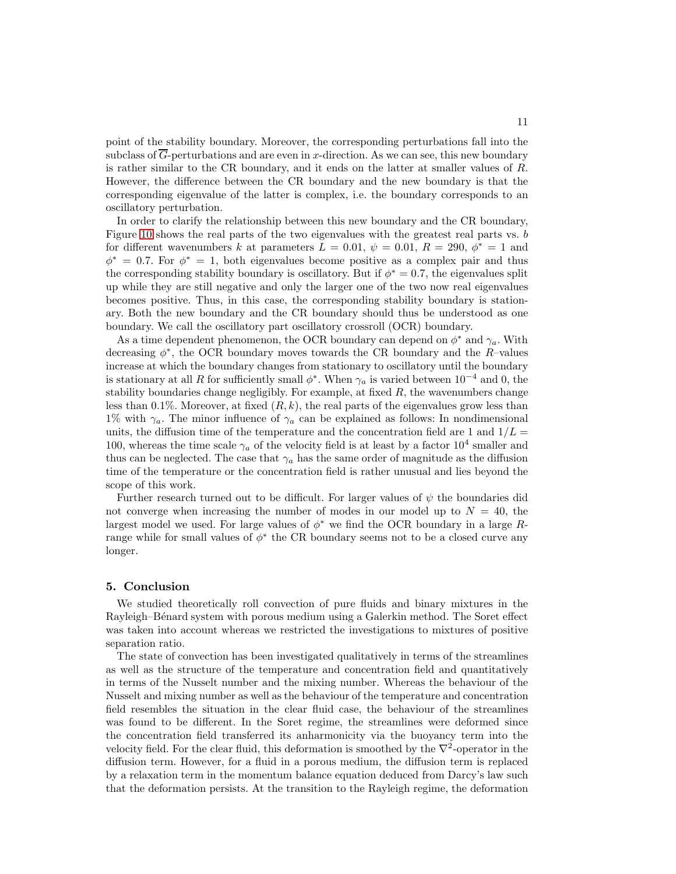point of the stability boundary. Moreover, the corresponding perturbations fall into the subclass of  $G$ -perturbations and are even in  $x$ -direction. As we can see, this new boundary is rather similar to the CR boundary, and it ends on the latter at smaller values of  $R$ . However, the difference between the CR boundary and the new boundary is that the corresponding eigenvalue of the latter is complex, i.e. the boundary corresponds to an oscillatory perturbation.

In order to clarify the relationship between this new boundary and the CR boundary, Figure [10](#page-23-0) shows the real parts of the two eigenvalues with the greatest real parts vs. b for different wavenumbers k at parameters  $\tilde{L} = 0.01, \psi = 0.01, R = 290, \phi^* = 1$  and  $\phi^* = 0.7$ . For  $\phi^* = 1$ , both eigenvalues become positive as a complex pair and thus the corresponding stability boundary is oscillatory. But if  $\phi^* = 0.7$ , the eigenvalues split up while they are still negative and only the larger one of the two now real eigenvalues becomes positive. Thus, in this case, the corresponding stability boundary is stationary. Both the new boundary and the CR boundary should thus be understood as one boundary. We call the oscillatory part oscillatory crossroll (OCR) boundary.

As a time dependent phenomenon, the OCR boundary can depend on  $\phi^*$  and  $\gamma_a$ . With decreasing  $\phi^*$ , the OCR boundary moves towards the CR boundary and the R-values increase at which the boundary changes from stationary to oscillatory until the boundary is stationary at all R for sufficiently small  $\phi^*$ . When  $\gamma_a$  is varied between  $10^{-4}$  and 0, the stability boundaries change negligibly. For example, at fixed  $R$ , the wavenumbers change less than 0.1%. Moreover, at fixed  $(R, k)$ , the real parts of the eigenvalues grow less than 1% with  $\gamma_a$ . The minor influence of  $\gamma_a$  can be explained as follows: In nondimensional units, the diffusion time of the temperature and the concentration field are 1 and  $1/L =$ 100, whereas the time scale  $\gamma_a$  of the velocity field is at least by a factor  $10^4$  smaller and thus can be neglected. The case that  $\gamma_a$  has the same order of magnitude as the diffusion time of the temperature or the concentration field is rather unusual and lies beyond the scope of this work.

Further research turned out to be difficult. For larger values of  $\psi$  the boundaries did not converge when increasing the number of modes in our model up to  $N = 40$ , the largest model we used. For large values of  $\phi^*$  we find the OCR boundary in a large Rrange while for small values of  $\phi^*$  the CR boundary seems not to be a closed curve any longer.

#### 5. Conclusion

We studied theoretically roll convection of pure fluids and binary mixtures in the Rayleigh–Bénard system with porous medium using a Galerkin method. The Soret effect was taken into account whereas we restricted the investigations to mixtures of positive separation ratio.

The state of convection has been investigated qualitatively in terms of the streamlines as well as the structure of the temperature and concentration field and quantitatively in terms of the Nusselt number and the mixing number. Whereas the behaviour of the Nusselt and mixing number as well as the behaviour of the temperature and concentration field resembles the situation in the clear fluid case, the behaviour of the streamlines was found to be different. In the Soret regime, the streamlines were deformed since the concentration field transferred its anharmonicity via the buoyancy term into the velocity field. For the clear fluid, this deformation is smoothed by the  $\nabla^2$ -operator in the diffusion term. However, for a fluid in a porous medium, the diffusion term is replaced by a relaxation term in the momentum balance equation deduced from Darcy's law such that the deformation persists. At the transition to the Rayleigh regime, the deformation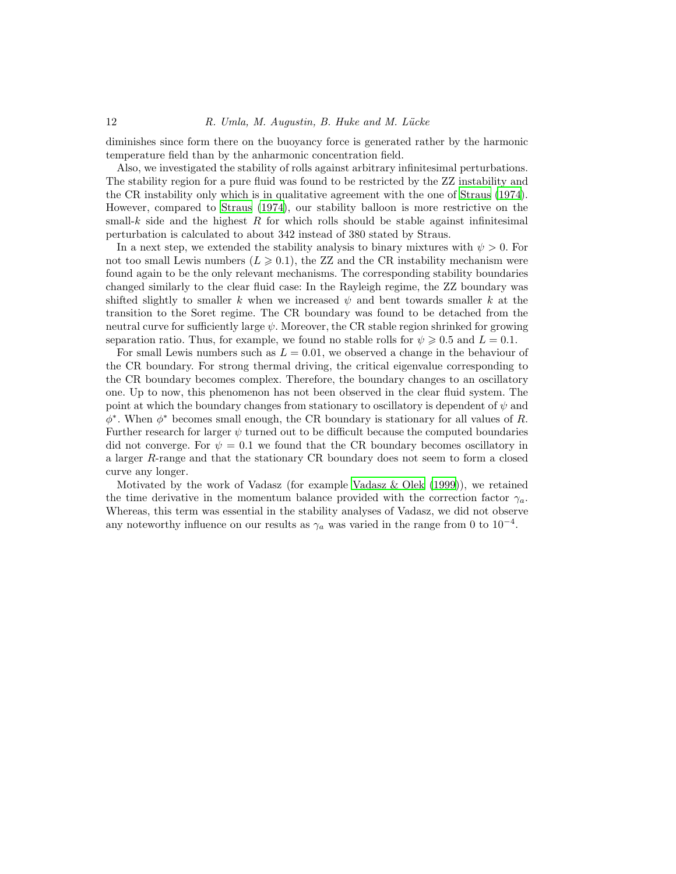diminishes since form there on the buoyancy force is generated rather by the harmonic temperature field than by the anharmonic concentration field.

Also, we investigated the stability of rolls against arbitrary infinitesimal perturbations. The stability region for a pure fluid was found to be restricted by the ZZ instability and the CR instability only which is in qualitative agreement with the one of [Straus \(1974\)](#page-13-3). However, compared to [Straus \(1974\)](#page-13-3), our stability balloon is more restrictive on the small-k side and the highest R for which rolls should be stable against infinitesimal perturbation is calculated to about 342 instead of 380 stated by Straus.

In a next step, we extended the stability analysis to binary mixtures with  $\psi > 0$ . For not too small Lewis numbers  $(L \geq 0.1)$ , the ZZ and the CR instability mechanism were found again to be the only relevant mechanisms. The corresponding stability boundaries changed similarly to the clear fluid case: In the Rayleigh regime, the ZZ boundary was shifted slightly to smaller k when we increased  $\psi$  and bent towards smaller k at the transition to the Soret regime. The CR boundary was found to be detached from the neutral curve for sufficiently large  $\psi$ . Moreover, the CR stable region shrinked for growing separation ratio. Thus, for example, we found no stable rolls for  $\psi \geqslant 0.5$  and  $L = 0.1$ .

For small Lewis numbers such as  $L = 0.01$ , we observed a change in the behaviour of the CR boundary. For strong thermal driving, the critical eigenvalue corresponding to the CR boundary becomes complex. Therefore, the boundary changes to an oscillatory one. Up to now, this phenomenon has not been observed in the clear fluid system. The point at which the boundary changes from stationary to oscillatory is dependent of  $\psi$  and  $\phi^*$ . When  $\phi^*$  becomes small enough, the CR boundary is stationary for all values of R. Further research for larger  $\psi$  turned out to be difficult because the computed boundaries did not converge. For  $\psi = 0.1$  we found that the CR boundary becomes oscillatory in a larger R-range and that the stationary CR boundary does not seem to form a closed curve any longer.

Motivated by the work of Vadasz (for example [Vadasz & Olek \(1999\)](#page-13-10)), we retained the time derivative in the momentum balance provided with the correction factor  $\gamma_a$ . Whereas, this term was essential in the stability analyses of Vadasz, we did not observe any noteworthy influence on our results as  $\gamma_a$  was varied in the range from 0 to 10<sup>-4</sup>.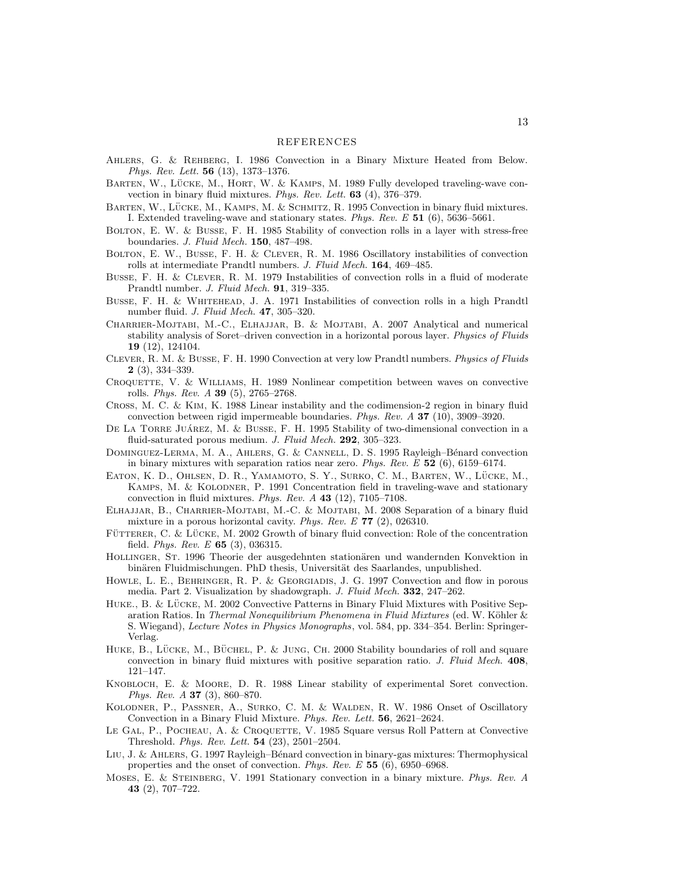- <span id="page-12-18"></span>Ahlers, G. & Rehberg, I. 1986 Convection in a Binary Mixture Heated from Below. Phys. Rev. Lett. 56 (13), 1373–1376.
- <span id="page-12-13"></span>BARTEN, W., LÜCKE, M., HORT, W. & KAMPS, M. 1989 Fully developed traveling-wave convection in binary fluid mixtures. Phys. Rev. Lett. 63 (4), 376–379.
- <span id="page-12-9"></span>BARTEN, W., LÜCKE, M., KAMPS, M. & SCHMITZ, R. 1995 Convection in binary fluid mixtures. I. Extended traveling-wave and stationary states. Phys. Rev. E 51 (6), 5636–5661.
- <span id="page-12-5"></span>Bolton, E. W. & Busse, F. H. 1985 Stability of convection rolls in a layer with stress-free boundaries. J. Fluid Mech. 150, 487–498.
- <span id="page-12-4"></span>Bolton, E. W., Busse, F. H. & Clever, R. M. 1986 Oscillatory instabilities of convection rolls at intermediate Prandtl numbers. J. Fluid Mech. 164, 469–485.
- <span id="page-12-2"></span>Busse, F. H. & Clever, R. M. 1979 Instabilities of convection rolls in a fluid of moderate Prandtl number. J. Fluid Mech. 91, 319–335.
- <span id="page-12-0"></span>BUSSE, F. H. & WHITEHEAD, J. A. 1971 Instabilities of convection rolls in a high Prandtl number fluid. J. Fluid Mech. 47, 305–320.
- <span id="page-12-20"></span>Charrier-Mojtabi, M.-C., Elhajjar, B. & Mojtabi, A. 2007 Analytical and numerical stability analysis of Soret–driven convection in a horizontal porous layer. Physics of Fluids 19 (12), 124104.
- <span id="page-12-3"></span>Clever, R. M. & Busse, F. H. 1990 Convection at very low Prandtl numbers. Physics of Fluids 2 (3), 334–339.
- <span id="page-12-1"></span>CROQUETTE, V. & WILLIAMS, H. 1989 Nonlinear competition between waves on convective rolls. Phys. Rev. A 39 (5), 2765–2768.
- <span id="page-12-15"></span>Cross, M. C. & Kim, K. 1988 Linear instability and the codimension-2 region in binary fluid convection between rigid impermeable boundaries. Phys. Rev. A 37 (10), 3909–3920.
- <span id="page-12-6"></span>DE LA TORRE JUÁREZ, M. & BUSSE, F. H. 1995 Stability of two-dimensional convection in a fluid-saturated porous medium. J. Fluid Mech. 292, 305-323.
- <span id="page-12-12"></span>DOMINGUEZ-LERMA, M. A., AHLERS, G. & CANNELL, D. S. 1995 Rayleigh–Bénard convection in binary mixtures with separation ratios near zero. Phys. Rev.  $E$  52 (6), 6159–6174.
- <span id="page-12-8"></span>EATON, K. D., OHLSEN, D. R., YAMAMOTO, S. Y., SURKO, C. M., BARTEN, W., LÜCKE, M., Kamps, M. & Kolodner, P. 1991 Concentration field in traveling-wave and stationary convection in fluid mixtures. Phys. Rev.  $A$  43 (12), 7105–7108.
- <span id="page-12-21"></span>Elhajjar, B., Charrier-Mojtabi, M.-C. & Mojtabi, M. 2008 Separation of a binary fluid mixture in a porous horizontal cavity. Phys. Rev. E 77 (2), 026310.
- <span id="page-12-17"></span>FÜTTERER, C. & LÜCKE, M. 2002 Growth of binary fluid convection: Role of the concentration field. *Phys. Rev. E*  $65$  (3), 036315.
- <span id="page-12-23"></span>HOLLINGER, ST. 1996 Theorie der ausgedehnten stationären und wandernden Konvektion in binären Fluidmischungen. PhD thesis, Universität des Saarlandes, unpublished.
- <span id="page-12-7"></span>HOWLE, L. E., BEHRINGER, R. P. & GEORGIADIS, J. G. 1997 Convection and flow in porous media. Part 2. Visualization by shadowgraph. J. Fluid Mech. 332, 247–262.
- <span id="page-12-10"></span>HUKE., B. & LÜCKE, M. 2002 Convective Patterns in Binary Fluid Mixtures with Positive Separation Ratios. In Thermal Nonequilibrium Phenomena in Fluid Mixtures (ed. W. Köhler  $\&$ S. Wiegand), Lecture Notes in Physics Monographs, vol. 584, pp. 334–354. Berlin: Springer-Verlag.
- <span id="page-12-19"></span>HUKE, B., LÜCKE, M., BÜCHEL, P. & JUNG, CH. 2000 Stability boundaries of roll and square convection in binary fluid mixtures with positive separation ratio. J. Fluid Mech. 408, 121–147.
- <span id="page-12-14"></span>Knobloch, E. & Moore, D. R. 1988 Linear stability of experimental Soret convection. Phys. Rev. A 37 (3), 860–870.
- <span id="page-12-16"></span>Kolodner, P., Passner, A., Surko, C. M. & Walden, R. W. 1986 Onset of Oscillatory Convection in a Binary Fluid Mixture. Phys. Rev. Lett. 56, 2621–2624.
- <span id="page-12-11"></span>LE GAL, P., POCHEAU, A. & CROQUETTE, V. 1985 Square versus Roll Pattern at Convective Threshold. Phys. Rev. Lett. 54 (23), 2501–2504.
- <span id="page-12-22"></span>LIU, J. & AHLERS, G. 1997 Rayleigh–Bénard convection in binary-gas mixtures: Thermophysical properties and the onset of convection. Phys. Rev. E 55 (6), 6950–6968.
- <span id="page-12-24"></span>MOSES, E. & STEINBERG, V. 1991 Stationary convection in a binary mixture. Phys. Rev. A 43 (2), 707–722.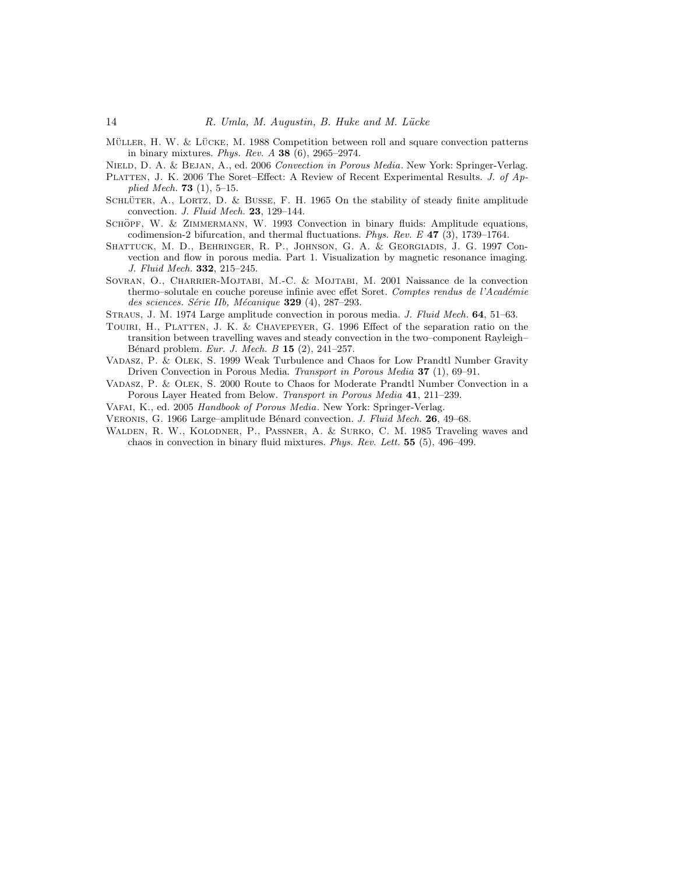<span id="page-13-13"></span>MÜLLER, H. W. & LÜCKE, M. 1988 Competition between roll and square convection patterns in binary mixtures. *Phys. Rev. A* **38** (6), 2965–2974.

<span id="page-13-2"></span>NIELD, D. A. & BEJAN, A., ed. 2006 Convection in Porous Media. New York: Springer-Verlag.

- <span id="page-13-5"></span>PLATTEN, J. K. 2006 The Soret–Effect: A Review of Recent Experimental Results. J. of Applied Mech. **73** (1), 5–15.
- <span id="page-13-0"></span>SCHLÜTER, A., LORTZ, D. & BUSSE, F. H. 1965 On the stability of steady finite amplitude convection. J. Fluid Mech. 23, 129–144.
- <span id="page-13-6"></span>SCHÖPF, W. & ZIMMERMANN, W. 1993 Convection in binary fluids: Amplitude equations, codimension-2 bifurcation, and thermal fluctuations. Phys. Rev. E 47 (3), 1739–1764.
- <span id="page-13-4"></span>Shattuck, M. D., Behringer, R. P., Johnson, G. A. & Georgiadis, J. G. 1997 Convection and flow in porous media. Part 1. Visualization by magnetic resonance imaging. J. Fluid Mech. 332, 215–245.
- <span id="page-13-9"></span>Sovran, O., Charrier-Mojtabi, M.-C. & Mojtabi, M. 2001 Naissance de la convection thermo–solutale en couche poreuse infinie avec effet Soret. Comptes rendus de l'Académie des sciences. Série IIb, Mécanique  $329$  (4), 287–293.
- <span id="page-13-3"></span>Straus, J. M. 1974 Large amplitude convection in porous media. J. Fluid Mech. 64, 51–63.
- <span id="page-13-7"></span>Touiri, H., Platten, J. K. & Chavepeyer, G. 1996 Effect of the separation ratio on the transition between travelling waves and steady convection in the two–component Rayleigh– Bénard problem. Eur. J. Mech. B 15 (2), 241-257.
- <span id="page-13-10"></span>Vadasz, P. & Olek, S. 1999 Weak Turbulence and Chaos for Low Prandtl Number Gravity Driven Convection in Porous Media. Transport in Porous Media 37 (1), 69–91.
- <span id="page-13-11"></span>Vadasz, P. & Olek, S. 2000 Route to Chaos for Moderate Prandtl Number Convection in a Porous Layer Heated from Below. Transport in Porous Media 41, 211–239.
- <span id="page-13-1"></span>VAFAI, K., ed. 2005 Handbook of Porous Media. New York: Springer-Verlag.
- <span id="page-13-12"></span>VERONIS, G. 1966 Large–amplitude Bénard convection. J. Fluid Mech. 26, 49–68.
- <span id="page-13-8"></span>Walden, R. W., Kolodner, P., Passner, A. & Surko, C. M. 1985 Traveling waves and chaos in convection in binary fluid mixtures. Phys. Rev. Lett. 55 (5), 496–499.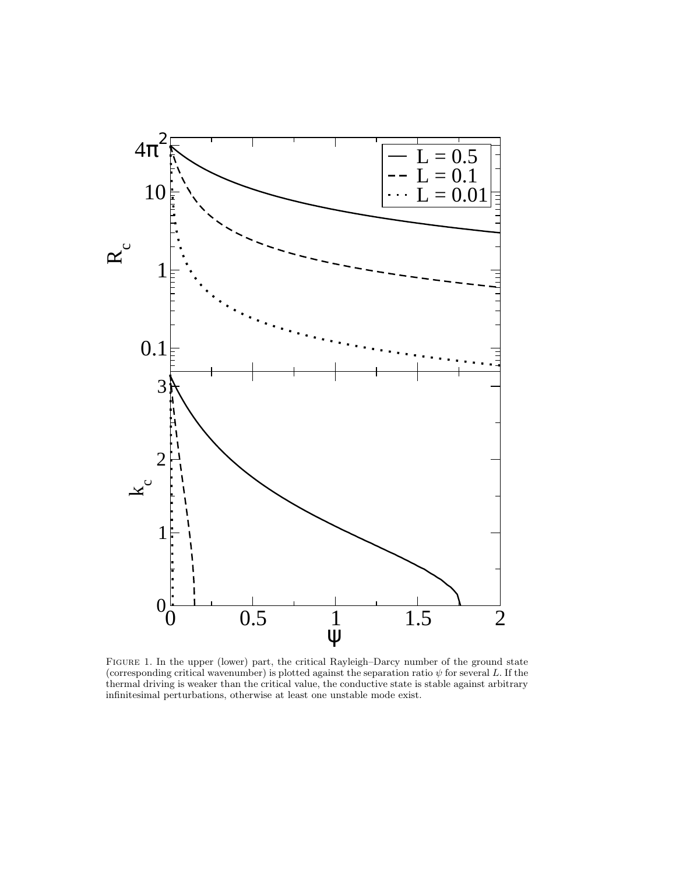

<span id="page-14-0"></span>Figure 1. In the upper (lower) part, the critical Rayleigh–Darcy number of the ground state (corresponding critical wavenumber) is plotted against the separation ratio  $\psi$  for several L. If the thermal driving is weaker than the critical value, the conductive state is stable against arbitrary infinitesimal perturbations, otherwise at least one unstable mode exist.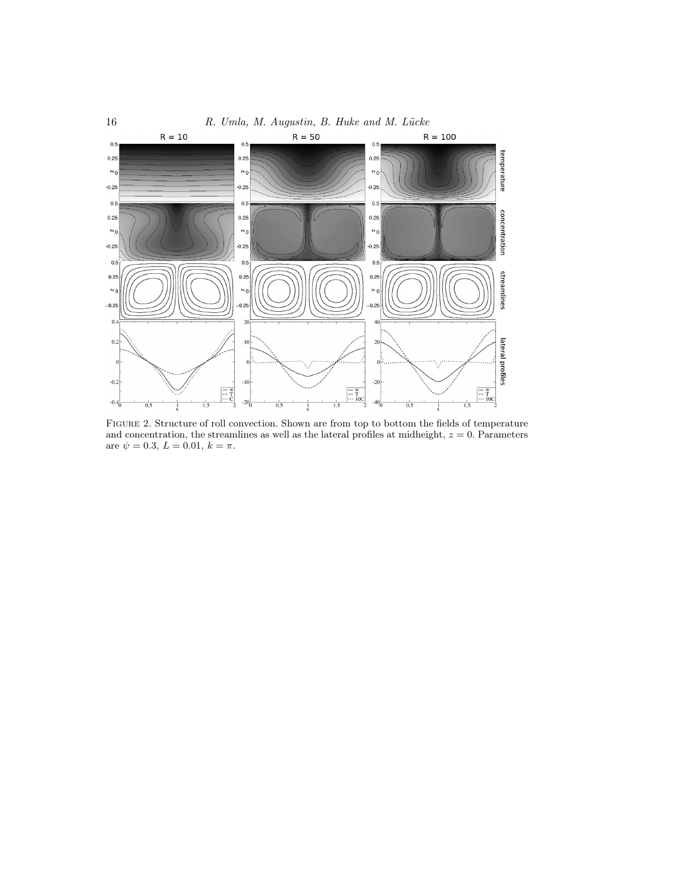

<span id="page-15-0"></span>Figure 2. Structure of roll convection. Shown are from top to bottom the fields of temperature and concentration, the streamlines as well as the lateral profiles at midheight,  $z = 0$ . Parameters are  $\psi = 0.3, L = 0.01, k = \pi$ .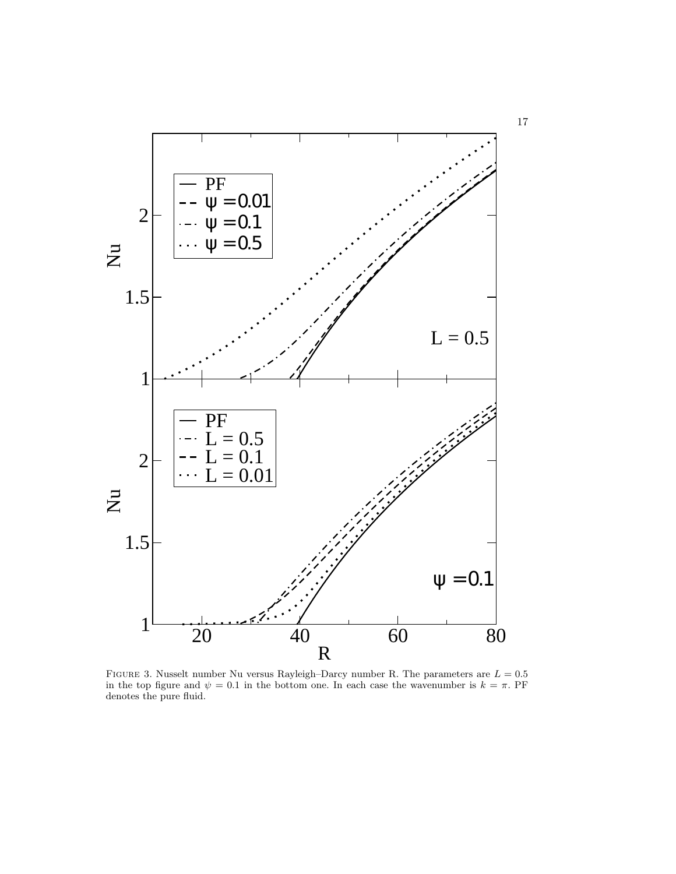

<span id="page-16-0"></span>FIGURE 3. Nusselt number Nu versus Rayleigh–Darcy number R. The parameters are  $L = 0.5$ in the top figure and  $\psi = 0.1$  in the bottom one. In each case the wavenumber is  $k = \pi$ . PF denotes the pure fluid.

17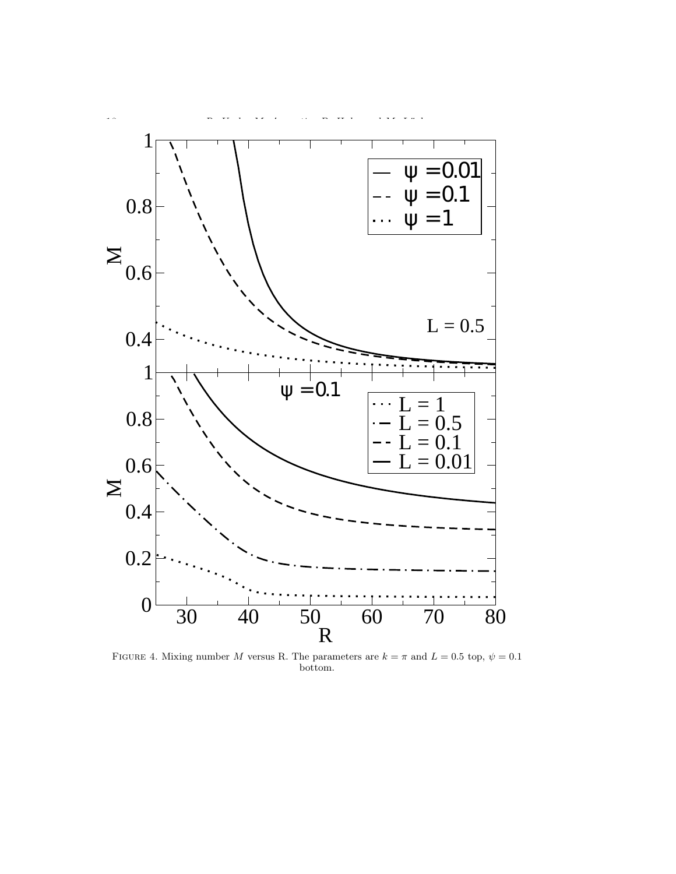

<span id="page-17-0"></span>FIGURE 4. Mixing number M versus R. The parameters are  $k = \pi$  and  $L = 0.5$  top,  $\psi = 0.1$ bottom.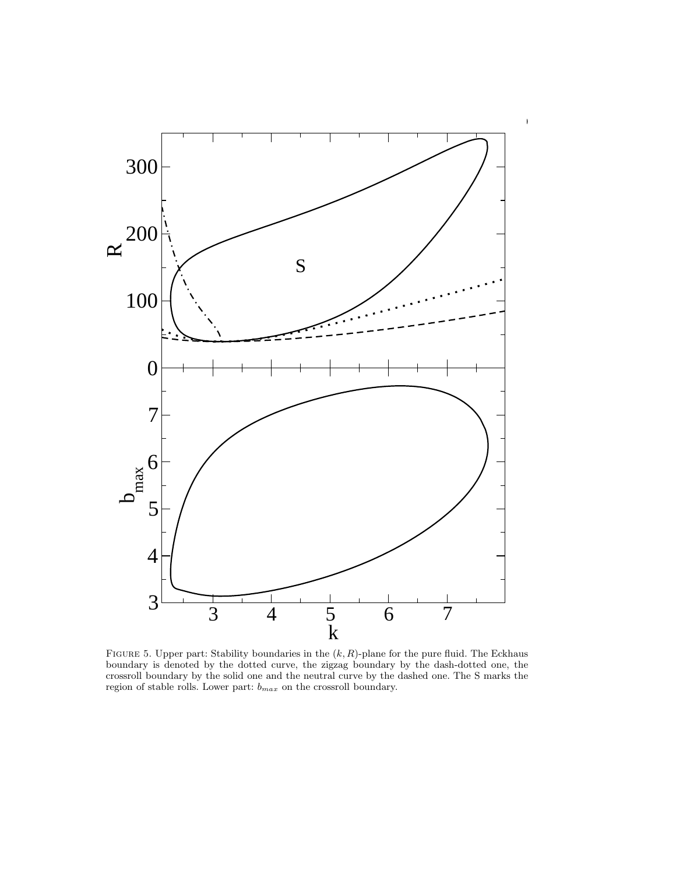

<span id="page-18-0"></span>FIGURE 5. Upper part: Stability boundaries in the  $(k, R)$ -plane for the pure fluid. The Eckhaus boundary is denoted by the dotted curve, the zigzag boundary by the dash-dotted one, the crossroll boundary by the solid one and the neutral curve by the dashed one. The S marks the region of stable rolls. Lower part:  $b_{max}$  on the crossroll boundary.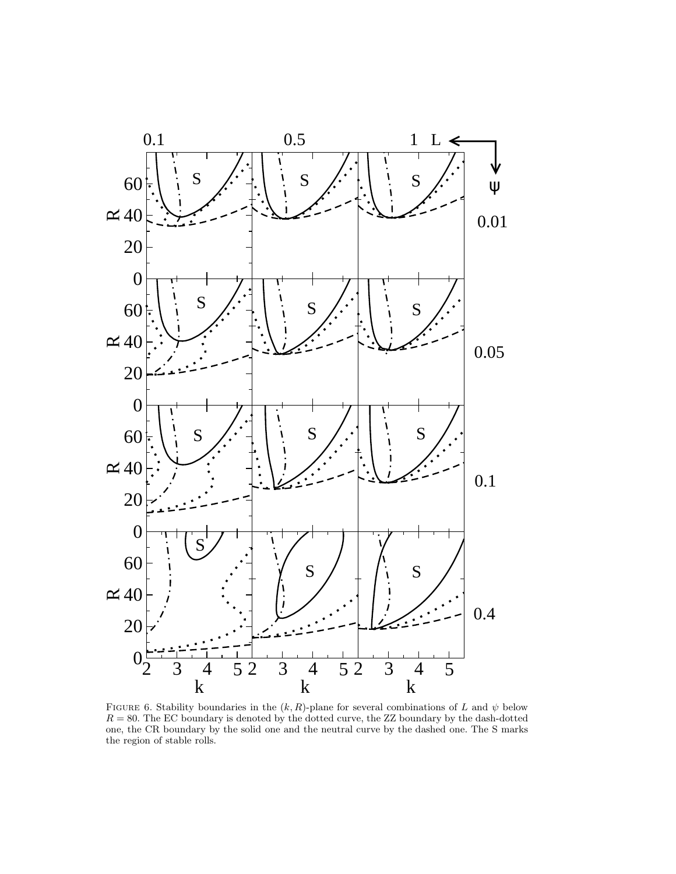

<span id="page-19-0"></span>FIGURE 6. Stability boundaries in the  $(k, R)$ -plane for several combinations of L and  $\psi$  below  $R = 80$ . The EC boundary is denoted by the dotted curve, the ZZ boundary by the dash-dotted one, the CR boundary by the solid one and the neutral curve by the dashed one. The S marks the region of stable rolls.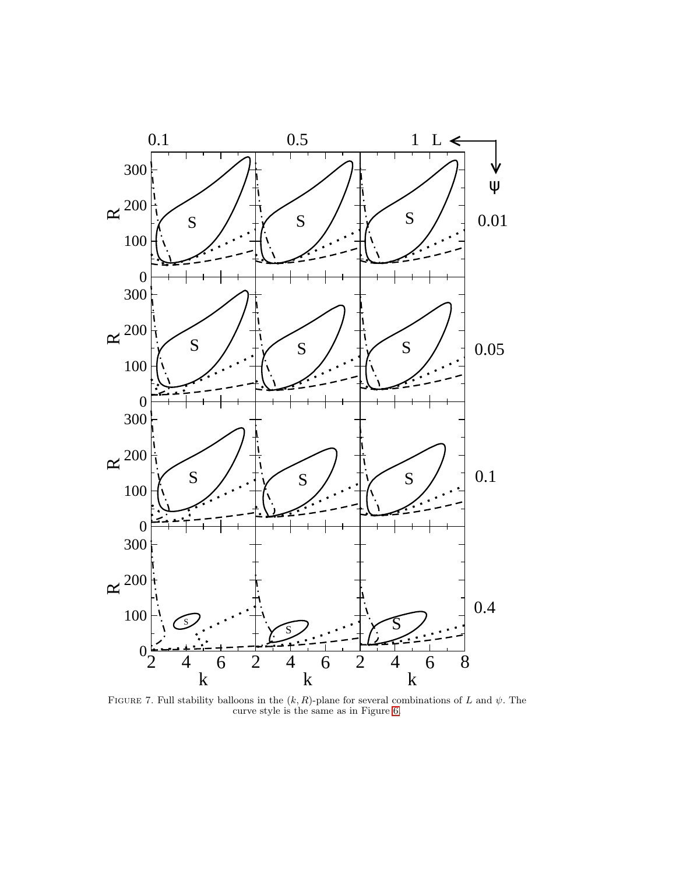

<span id="page-20-0"></span>FIGURE 7. Full stability balloons in the  $(k, R)$ -plane for several combinations of L and  $\psi$ . The curve style is the same as in Figure [6.](#page-19-0)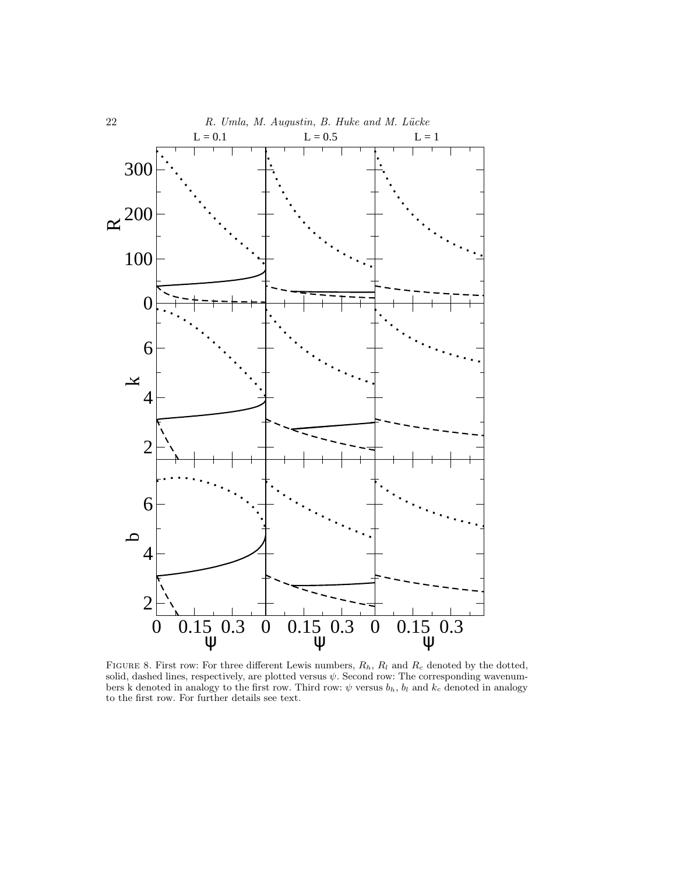

<span id="page-21-0"></span>FIGURE 8. First row: For three different Lewis numbers,  $R_h$ ,  $R_l$  and  $R_c$  denoted by the dotted, solid, dashed lines, respectively, are plotted versus  $\psi$ . Second row: The corresponding wavenumbers k denoted in analogy to the first row. Third row:  $\psi$  versus  $b_h$ ,  $b_l$  and  $k_c$  denoted in analogy to the first row. For further details see text.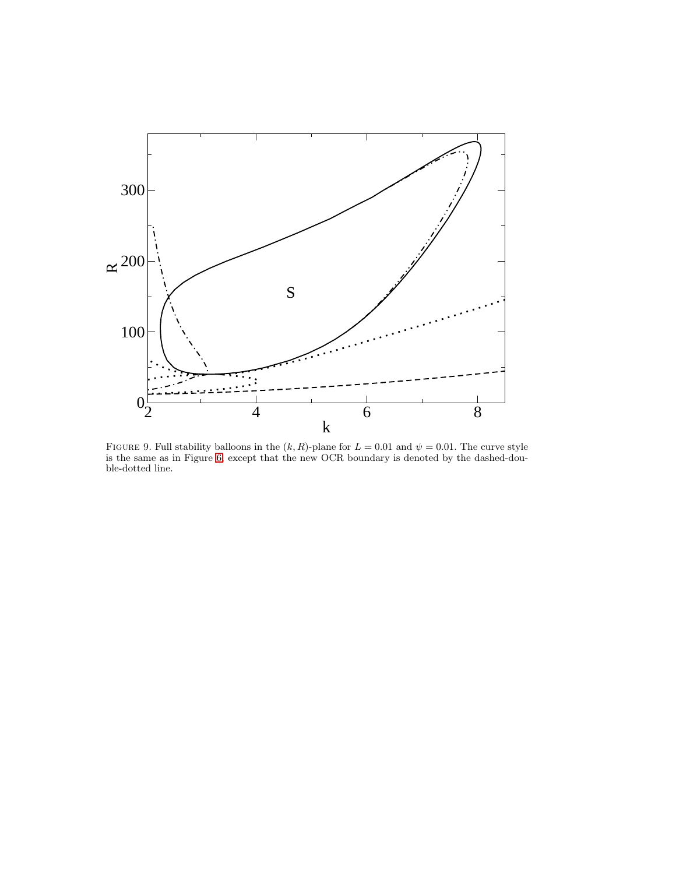

<span id="page-22-0"></span>FIGURE 9. Full stability balloons in the  $(k, R)$ -plane for  $L = 0.01$  and  $\psi = 0.01$ . The curve style is the same as in Figure [6,](#page-19-0) except that the new OCR boundary is denoted by the dashed-double-dotted line.